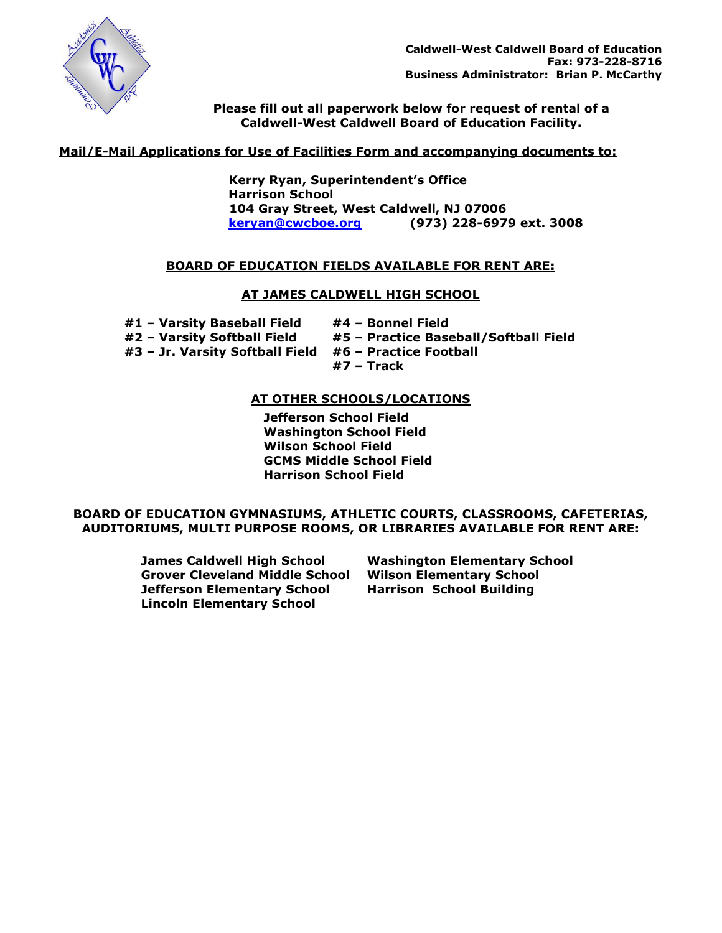

**Please fill out all paperwork below for request of rental of a Caldwell-West Caldwell Board of Education Facility.**

# **Mail/E-Mail Applications for Use of Facilities Form and accompanying documents to:**

 **Kerry Ryan, Superintendent's Office Harrison School 104 Gray Street, West Caldwell, NJ 07006 [keryan@cwcboe.org](mailto:keryan@cwcboe.org) (973) 228-6979 ext. 3008**

# **BOARD OF EDUCATION FIELDS AVAILABLE FOR RENT ARE:**

# **AT JAMES CALDWELL HIGH SCHOOL**

| #1 - Varsity Baseball Field     | #4 - Bonnel Field                     |
|---------------------------------|---------------------------------------|
| #2 - Varsity Softball Field     | #5 - Practice Baseball/Softball Field |
| #3 - Jr. Varsity Softball Field | #6 – Practice Football                |
|                                 | #7 – Track                            |

# **AT OTHER SCHOOLS/LOCATIONS**

**Jefferson School Field Washington School Field Wilson School Field GCMS Middle School Field Harrison School Field**

# **BOARD OF EDUCATION GYMNASIUMS, ATHLETIC COURTS, CLASSROOMS, CAFETERIAS, AUDITORIUMS, MULTI PURPOSE ROOMS, OR LIBRARIES AVAILABLE FOR RENT ARE:**

**James Caldwell High School Grover Cleveland Middle School Jefferson Elementary School Lincoln Elementary School**

**Washington Elementary School Wilson Elementary School Harrison School Building**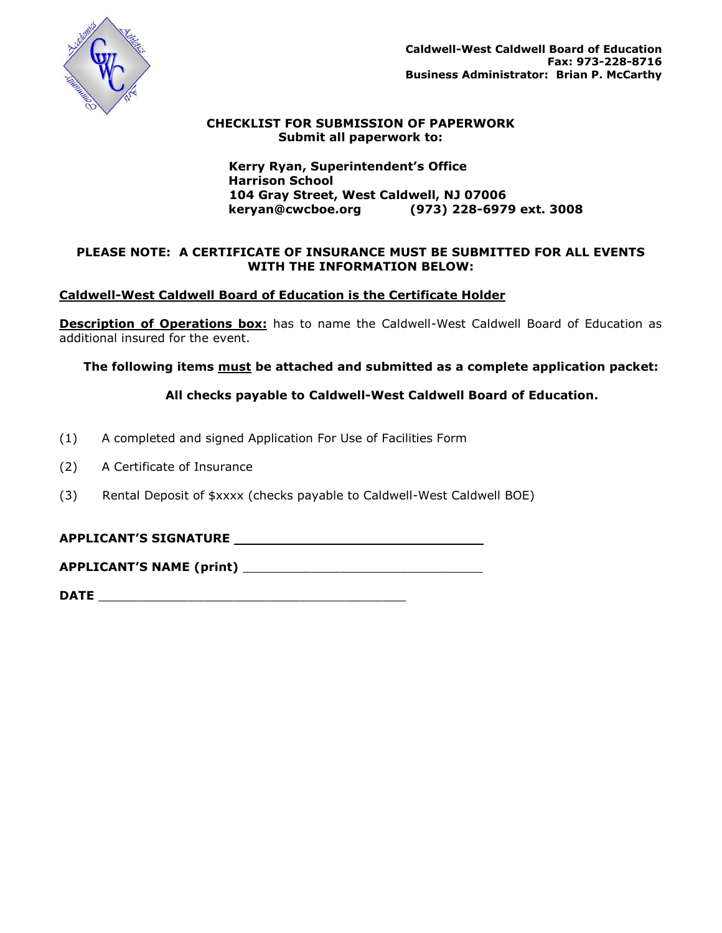

# **CHECKLIST FOR SUBMISSION OF PAPERWORK Submit all paperwork to:**

 **Kerry Ryan, Superintendent's Office Harrison School 104 Gray Street, West Caldwell, NJ 07006 keryan@cwcboe.org (973) 228-6979 ext. 3008**

# **PLEASE NOTE: A CERTIFICATE OF INSURANCE MUST BE SUBMITTED FOR ALL EVENTS WITH THE INFORMATION BELOW:**

# **Caldwell-West Caldwell Board of Education is the Certificate Holder**

**Description of Operations box:** has to name the Caldwell-West Caldwell Board of Education as additional insured for the event.

 **The following items must be attached and submitted as a complete application packet:** 

# **All checks payable to Caldwell-West Caldwell Board of Education.**

- (1) A completed and signed Application For Use of Facilities Form
- (2) A Certificate of Insurance
- (3) Rental Deposit of \$xxxx (checks payable to Caldwell-West Caldwell BOE)

# **APPLICANT'S SIGNATURE**

**APPLICANT'S NAME (print)** \_\_\_\_\_\_\_\_\_\_\_\_\_\_\_\_\_\_\_\_\_\_\_\_\_\_\_\_\_\_\_\_

**DATE** \_\_\_\_\_\_\_\_\_\_\_\_\_\_\_\_\_\_\_\_\_\_\_\_\_\_\_\_\_\_\_\_\_\_\_\_\_\_\_\_\_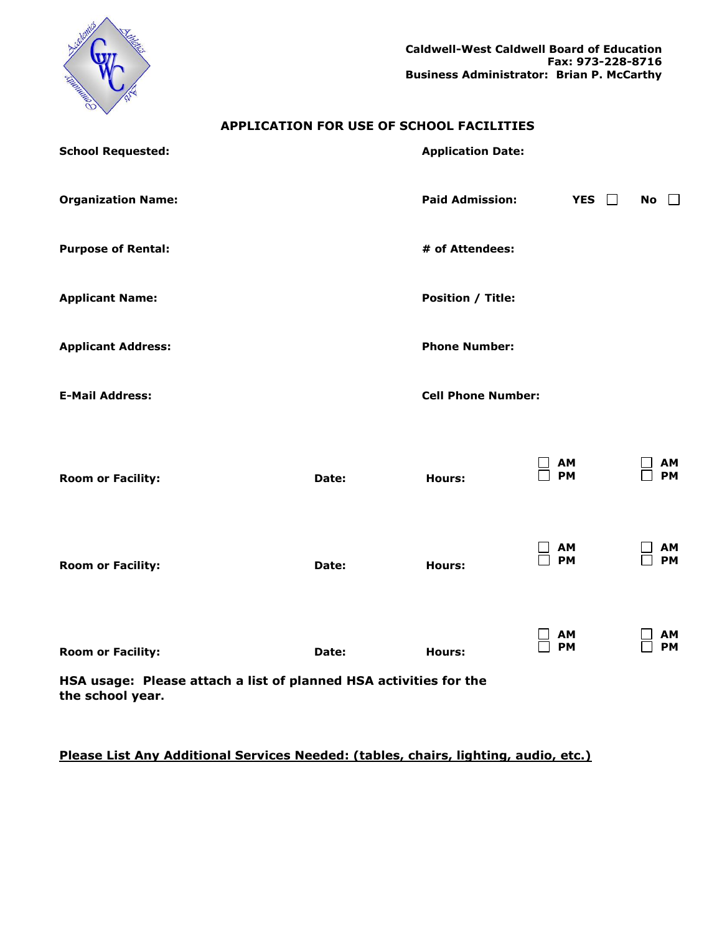

# **APPLICATION FOR USE OF SCHOOL FACILITIES**

| <b>School Requested:</b>                                          |       | <b>Application Date:</b>  |                 |                    |
|-------------------------------------------------------------------|-------|---------------------------|-----------------|--------------------|
| <b>Organization Name:</b>                                         |       | <b>Paid Admission:</b>    | YES $\Box$      | <b>No</b><br>$\pm$ |
| <b>Purpose of Rental:</b>                                         |       | # of Attendees:           |                 |                    |
| <b>Applicant Name:</b>                                            |       | <b>Position / Title:</b>  |                 |                    |
| <b>Applicant Address:</b>                                         |       | <b>Phone Number:</b>      |                 |                    |
| <b>E-Mail Address:</b>                                            |       | <b>Cell Phone Number:</b> |                 |                    |
|                                                                   |       |                           |                 |                    |
| <b>Room or Facility:</b>                                          | Date: | <b>Hours:</b>             | AM<br><b>PM</b> | ΑМ<br><b>PM</b>    |
|                                                                   |       |                           |                 |                    |
| <b>Room or Facility:</b>                                          | Date: | <b>Hours:</b>             | AM<br><b>PM</b> | AΜ<br><b>PM</b>    |
|                                                                   |       |                           |                 |                    |
| <b>Room or Facility:</b>                                          | Date: | <b>Hours:</b>             | AΜ<br><b>PM</b> | ΑМ<br>PM           |
| HSA usage: Please attach a list of planned HSA activities for the |       |                           |                 |                    |

**the school year.**

# **Please List Any Additional Services Needed: (tables, chairs, lighting, audio, etc.)**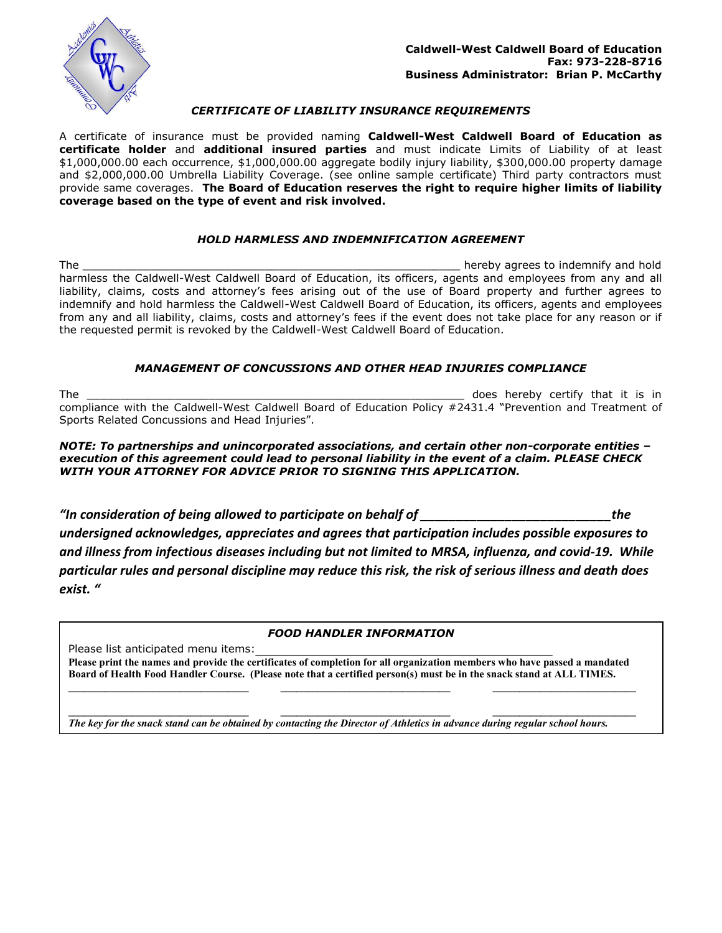

### *CERTIFICATE OF LIABILITY INSURANCE REQUIREMENTS*

A certificate of insurance must be provided naming **Caldwell-West Caldwell Board of Education as certificate holder** and **additional insured parties** and must indicate Limits of Liability of at least \$1,000,000.00 each occurrence, \$1,000,000.00 aggregate bodily injury liability, \$300,000.00 property damage and \$2,000,000.00 Umbrella Liability Coverage. (see online sample certificate) Third party contractors must provide same coverages. **The Board of Education reserves the right to require higher limits of liability coverage based on the type of event and risk involved.**

#### *HOLD HARMLESS AND INDEMNIFICATION AGREEMENT*

The \_\_\_\_\_\_\_\_\_\_\_\_\_\_\_\_\_\_\_\_\_\_\_\_\_\_\_\_\_\_\_\_\_\_\_\_\_\_\_\_\_\_\_\_\_\_\_\_\_\_\_\_\_\_\_\_ hereby agrees to indemnify and hold harmless the Caldwell-West Caldwell Board of Education, its officers, agents and employees from any and all liability, claims, costs and attorney's fees arising out of the use of Board property and further agrees to indemnify and hold harmless the Caldwell-West Caldwell Board of Education, its officers, agents and employees from any and all liability, claims, costs and attorney's fees if the event does not take place for any reason or if the requested permit is revoked by the Caldwell-West Caldwell Board of Education.

#### *MANAGEMENT OF CONCUSSIONS AND OTHER HEAD INJURIES COMPLIANCE*

The the contract of the contract of the contract of the contract of the contract of the contract of the contract of the contract of the contract of the contract of the contract of the contract of the contract of the contra compliance with the Caldwell-West Caldwell Board of Education Policy #2431.4 "Prevention and Treatment of Sports Related Concussions and Head Injuries".

#### *NOTE: To partnerships and unincorporated associations, and certain other non-corporate entities – execution of this agreement could lead to personal liability in the event of a claim. PLEASE CHECK WITH YOUR ATTORNEY FOR ADVICE PRIOR TO SIGNING THIS APPLICATION.*

*"In consideration of being allowed to participate on behalf of \_\_\_\_\_\_\_\_\_\_\_\_\_\_\_\_\_\_\_\_\_\_\_\_\_\_\_the undersigned acknowledges, appreciates and agrees that participation includes possible exposures to and illness from infectious diseases including but not limited to MRSA, influenza, and covid-19. While particular rules and personal discipline may reduce this risk, the risk of serious illness and death does exist. "*

#### *FOOD HANDLER INFORMATION*

Please list anticipated menu items:

**Please print the names and provide the certificates of completion for all organization members who have passed a mandated Board of Health Food Handler Course. (Please note that a certified person(s) must be in the snack stand at ALL TIMES. \_\_\_\_\_\_\_\_\_\_\_\_\_\_\_\_\_\_\_\_\_\_\_\_\_\_\_\_\_\_\_\_\_\_ \_\_\_\_\_\_\_\_\_\_\_\_\_\_\_\_\_\_\_\_\_\_\_\_\_\_\_\_\_\_\_\_ \_\_\_\_\_\_\_\_\_\_\_\_\_\_\_\_\_\_\_\_\_\_\_\_\_\_\_**

*The key for the snack stand can be obtained by contacting the Director of Athletics in advance during regular school hours.*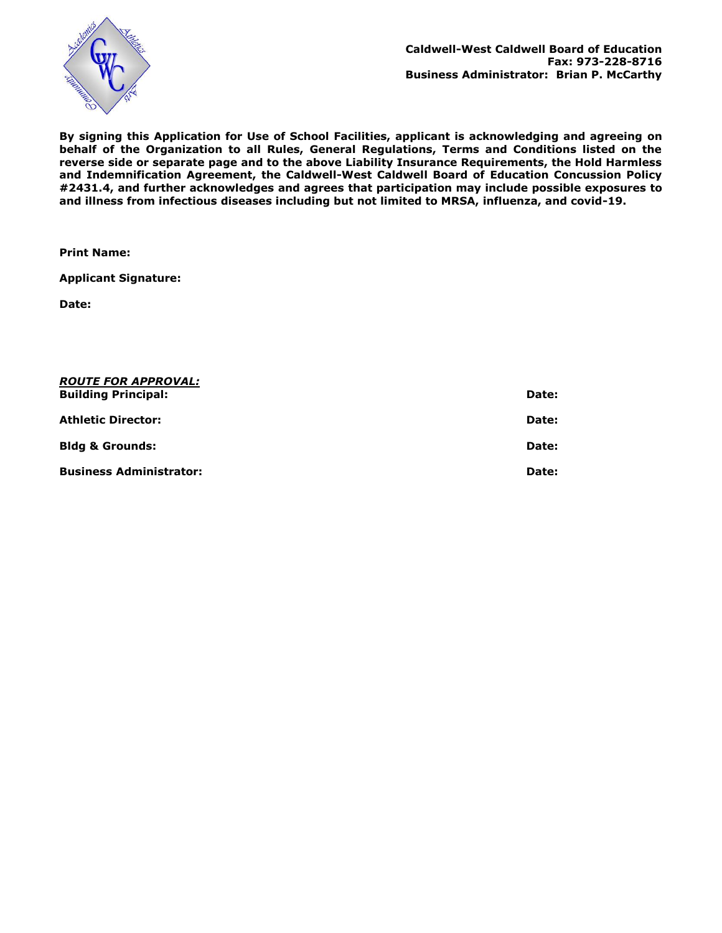

**By signing this Application for Use of School Facilities, applicant is acknowledging and agreeing on behalf of the Organization to all Rules, General Regulations, Terms and Conditions listed on the reverse side or separate page and to the above Liability Insurance Requirements, the Hold Harmless and Indemnification Agreement, the Caldwell-West Caldwell Board of Education Concussion Policy #2431.4, and further acknowledges and agrees that participation may include possible exposures to and illness from infectious diseases including but not limited to MRSA, influenza, and covid-19.** 

**Print Name:**

**Applicant Signature:**

**Date:**

| <i><b>ROUTE FOR APPROVAL:</b></i><br><b>Building Principal:</b> | Date: |
|-----------------------------------------------------------------|-------|
| Athletic Director:                                              | Date: |
| <b>Bldg &amp; Grounds:</b>                                      | Date: |
| <b>Business Administrator:</b>                                  | Date: |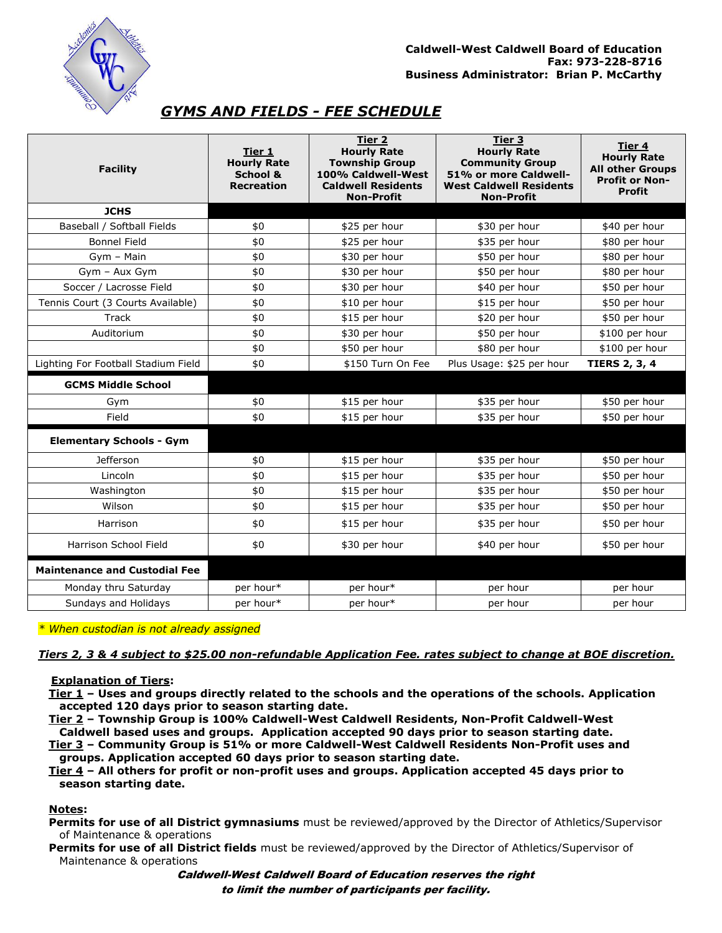

# *GYMS AND FIELDS - FEE SCHEDULE*

| <b>Facility</b>                      | Tier 1<br><b>Hourly Rate</b><br>School &<br><b>Recreation</b> | Tier 2<br><b>Hourly Rate</b><br><b>Township Group</b><br>100% Caldwell-West<br><b>Caldwell Residents</b><br><b>Non-Profit</b> | Tier 3<br><b>Hourly Rate</b><br><b>Community Group</b><br>51% or more Caldwell-<br><b>West Caldwell Residents</b><br><b>Non-Profit</b> | Tier 4<br><b>Hourly Rate</b><br><b>All other Groups</b><br><b>Profit or Non-</b><br><b>Profit</b> |
|--------------------------------------|---------------------------------------------------------------|-------------------------------------------------------------------------------------------------------------------------------|----------------------------------------------------------------------------------------------------------------------------------------|---------------------------------------------------------------------------------------------------|
| <b>JCHS</b>                          |                                                               |                                                                                                                               |                                                                                                                                        |                                                                                                   |
| Baseball / Softball Fields           | \$0                                                           | \$25 per hour                                                                                                                 | \$30 per hour                                                                                                                          | \$40 per hour                                                                                     |
| <b>Bonnel Field</b>                  | \$0                                                           | \$25 per hour                                                                                                                 | \$35 per hour                                                                                                                          | \$80 per hour                                                                                     |
| Gym - Main                           | \$0                                                           | \$30 per hour                                                                                                                 | \$50 per hour                                                                                                                          | \$80 per hour                                                                                     |
| Gym - Aux Gym                        | \$0                                                           | \$30 per hour                                                                                                                 | \$50 per hour                                                                                                                          | \$80 per hour                                                                                     |
| Soccer / Lacrosse Field              | \$0                                                           | \$30 per hour                                                                                                                 | \$40 per hour                                                                                                                          | \$50 per hour                                                                                     |
| Tennis Court (3 Courts Available)    | \$0                                                           | \$10 per hour                                                                                                                 | \$15 per hour                                                                                                                          | \$50 per hour                                                                                     |
| Track                                | \$0                                                           | \$15 per hour                                                                                                                 | \$20 per hour                                                                                                                          | \$50 per hour                                                                                     |
| Auditorium                           | \$0                                                           | \$30 per hour                                                                                                                 | \$50 per hour                                                                                                                          | \$100 per hour                                                                                    |
|                                      | \$0                                                           | \$50 per hour                                                                                                                 | \$80 per hour                                                                                                                          | \$100 per hour                                                                                    |
| Lighting For Football Stadium Field  | \$0                                                           | \$150 Turn On Fee                                                                                                             | Plus Usage: \$25 per hour                                                                                                              | <b>TIERS 2, 3, 4</b>                                                                              |
| <b>GCMS Middle School</b>            |                                                               |                                                                                                                               |                                                                                                                                        |                                                                                                   |
| Gym                                  | \$0                                                           | \$15 per hour                                                                                                                 | \$35 per hour                                                                                                                          | \$50 per hour                                                                                     |
| Field                                | \$0                                                           | \$15 per hour                                                                                                                 | \$35 per hour                                                                                                                          | \$50 per hour                                                                                     |
| <b>Elementary Schools - Gym</b>      |                                                               |                                                                                                                               |                                                                                                                                        |                                                                                                   |
| Jefferson                            | \$0                                                           | \$15 per hour                                                                                                                 | \$35 per hour                                                                                                                          | \$50 per hour                                                                                     |
| Lincoln                              | \$0                                                           | \$15 per hour                                                                                                                 | \$35 per hour                                                                                                                          | \$50 per hour                                                                                     |
| Washington                           | \$0                                                           | \$15 per hour                                                                                                                 | \$35 per hour                                                                                                                          | \$50 per hour                                                                                     |
| Wilson                               | \$0                                                           | \$15 per hour                                                                                                                 | \$35 per hour                                                                                                                          | \$50 per hour                                                                                     |
| Harrison                             | \$0                                                           | \$15 per hour                                                                                                                 | \$35 per hour                                                                                                                          | \$50 per hour                                                                                     |
| Harrison School Field                | \$0                                                           | \$30 per hour                                                                                                                 | \$40 per hour                                                                                                                          | \$50 per hour                                                                                     |
| <b>Maintenance and Custodial Fee</b> |                                                               |                                                                                                                               |                                                                                                                                        |                                                                                                   |
| Monday thru Saturday                 | per hour*                                                     | per hour*                                                                                                                     | per hour                                                                                                                               | per hour                                                                                          |
| Sundays and Holidays                 | per hour*                                                     | per hour*                                                                                                                     | per hour                                                                                                                               | per hour                                                                                          |

*\* When custodian is not already assigned*

# *Tiers 2, 3 & 4 subject to \$25.00 non-refundable Application Fee. rates subject to change at BOE discretion.*

#### **Explanation of Tiers:**

**Tier 1 – Uses and groups directly related to the schools and the operations of the schools. Application accepted 120 days prior to season starting date.**

**Tier 2 – Township Group is 100% Caldwell-West Caldwell Residents, Non-Profit Caldwell-West Caldwell based uses and groups. Application accepted 90 days prior to season starting date.**

**Tier 3 – Community Group is 51% or more Caldwell-West Caldwell Residents Non-Profit uses and groups. Application accepted 60 days prior to season starting date.**

**Tier 4 – All others for profit or non-profit uses and groups. Application accepted 45 days prior to season starting date.**

# **Notes:**

**Permits for use of all District gymnasiums** must be reviewed/approved by the Director of Athletics/Supervisor of Maintenance & operations

**Permits for use of all District fields** must be reviewed/approved by the Director of Athletics/Supervisor of Maintenance & operations

> Caldwell-West Caldwell Board of Education reserves the right to limit the number of participants per facility.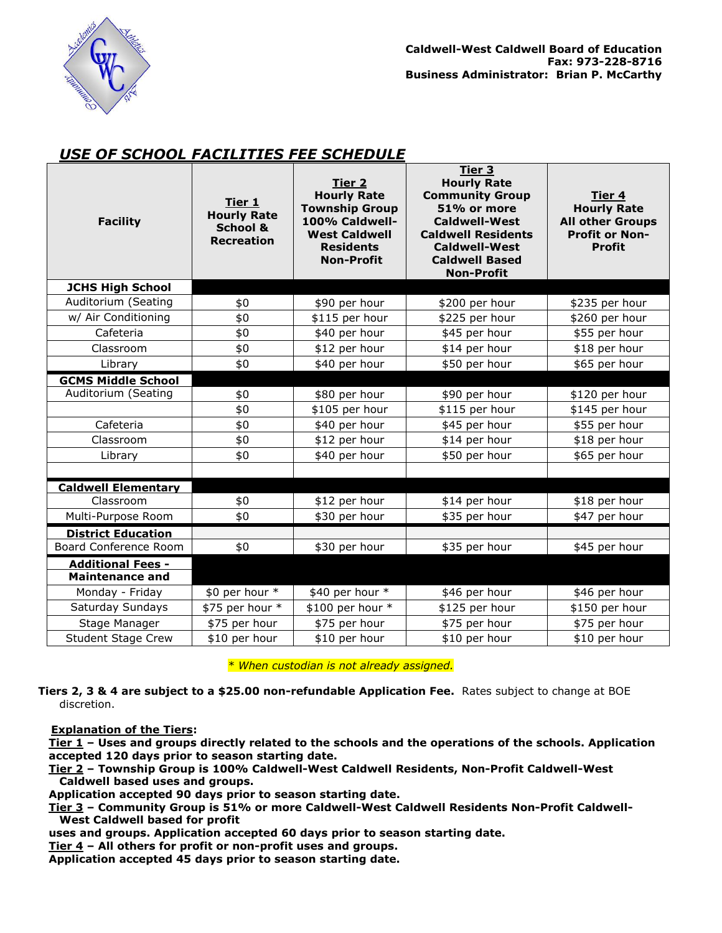

# *USE OF SCHOOL FACILITIES FEE SCHEDULE*

| <b>Facility</b>            | Tier 1<br><b>Hourly Rate</b><br>School &<br><b>Recreation</b> | Tier 2<br><b>Hourly Rate</b><br><b>Township Group</b><br>100% Caldwell-<br><b>West Caldwell</b><br><b>Residents</b><br><b>Non-Profit</b> | <u>Tier 3</u><br><b>Hourly Rate</b><br><b>Community Group</b><br>51% or more<br><b>Caldwell-West</b><br><b>Caldwell Residents</b><br><b>Caldwell-West</b><br><b>Caldwell Based</b><br><b>Non-Profit</b> | Tier 4<br><b>Hourly Rate</b><br><b>All other Groups</b><br><b>Profit or Non-</b><br><b>Profit</b> |
|----------------------------|---------------------------------------------------------------|------------------------------------------------------------------------------------------------------------------------------------------|---------------------------------------------------------------------------------------------------------------------------------------------------------------------------------------------------------|---------------------------------------------------------------------------------------------------|
| <b>JCHS High School</b>    |                                                               |                                                                                                                                          |                                                                                                                                                                                                         |                                                                                                   |
| Auditorium (Seating        | \$0                                                           | \$90 per hour                                                                                                                            | \$200 per hour                                                                                                                                                                                          | \$235 per hour                                                                                    |
| w/ Air Conditioning        | \$0                                                           | \$115 per hour                                                                                                                           | \$225 per hour                                                                                                                                                                                          | \$260 per hour                                                                                    |
| Cafeteria                  | \$0                                                           | \$40 per hour                                                                                                                            | \$45 per hour                                                                                                                                                                                           | \$55 per hour                                                                                     |
| Classroom                  | \$0                                                           | \$12 per hour                                                                                                                            | \$14 per hour                                                                                                                                                                                           | \$18 per hour                                                                                     |
| Library                    | \$0                                                           | \$40 per hour                                                                                                                            | \$50 per hour                                                                                                                                                                                           | \$65 per hour                                                                                     |
| <b>GCMS Middle School</b>  |                                                               |                                                                                                                                          |                                                                                                                                                                                                         |                                                                                                   |
| Auditorium (Seating        | \$0                                                           | \$80 per hour                                                                                                                            | \$90 per hour                                                                                                                                                                                           | \$120 per hour                                                                                    |
|                            | \$0                                                           | \$105 per hour                                                                                                                           | \$115 per hour                                                                                                                                                                                          | \$145 per hour                                                                                    |
| Cafeteria                  | \$0                                                           | \$40 per hour                                                                                                                            | \$45 per hour                                                                                                                                                                                           | \$55 per hour                                                                                     |
| Classroom                  | \$0                                                           | \$12 per hour                                                                                                                            | \$14 per hour                                                                                                                                                                                           | \$18 per hour                                                                                     |
| Library                    | \$0                                                           | \$40 per hour                                                                                                                            | \$50 per hour                                                                                                                                                                                           | \$65 per hour                                                                                     |
|                            |                                                               |                                                                                                                                          |                                                                                                                                                                                                         |                                                                                                   |
| <b>Caldwell Elementary</b> |                                                               |                                                                                                                                          |                                                                                                                                                                                                         |                                                                                                   |
| Classroom                  | \$0                                                           | \$12 per hour                                                                                                                            | \$14 per hour                                                                                                                                                                                           | \$18 per hour                                                                                     |
| Multi-Purpose Room         | \$0                                                           | \$30 per hour                                                                                                                            | \$35 per hour                                                                                                                                                                                           | \$47 per hour                                                                                     |
| <b>District Education</b>  |                                                               |                                                                                                                                          |                                                                                                                                                                                                         |                                                                                                   |
| Board Conference Room      | \$0                                                           | \$30 per hour                                                                                                                            | \$35 per hour                                                                                                                                                                                           | \$45 per hour                                                                                     |
| <b>Additional Fees -</b>   |                                                               |                                                                                                                                          |                                                                                                                                                                                                         |                                                                                                   |
| <b>Maintenance and</b>     |                                                               |                                                                                                                                          |                                                                                                                                                                                                         |                                                                                                   |
| Monday - Friday            | \$0 per hour *                                                | \$40 per hour *                                                                                                                          | \$46 per hour                                                                                                                                                                                           | \$46 per hour                                                                                     |
| Saturday Sundays           | \$75 per hour *                                               | \$100 per hour *                                                                                                                         | \$125 per hour                                                                                                                                                                                          | \$150 per hour                                                                                    |
| Stage Manager              | \$75 per hour                                                 | \$75 per hour                                                                                                                            | \$75 per hour                                                                                                                                                                                           | \$75 per hour                                                                                     |
| <b>Student Stage Crew</b>  | \$10 per hour                                                 | \$10 per hour                                                                                                                            | \$10 per hour                                                                                                                                                                                           | \$10 per hour                                                                                     |

 *\* When custodian is not already assigned.*

**Tiers 2, 3 & 4 are subject to a \$25.00 non-refundable Application Fee.** Rates subject to change at BOE discretion.

#### **Explanation of the Tiers:**

**Tier 1 – Uses and groups directly related to the schools and the operations of the schools. Application accepted 120 days prior to season starting date.**

**Tier 2 – Township Group is 100% Caldwell-West Caldwell Residents, Non-Profit Caldwell-West Caldwell based uses and groups.**

**Application accepted 90 days prior to season starting date.**

**Tier 3 – Community Group is 51% or more Caldwell-West Caldwell Residents Non-Profit Caldwell-West Caldwell based for profit** 

**uses and groups. Application accepted 60 days prior to season starting date.**

**Tier 4 – All others for profit or non-profit uses and groups.** 

**Application accepted 45 days prior to season starting date.**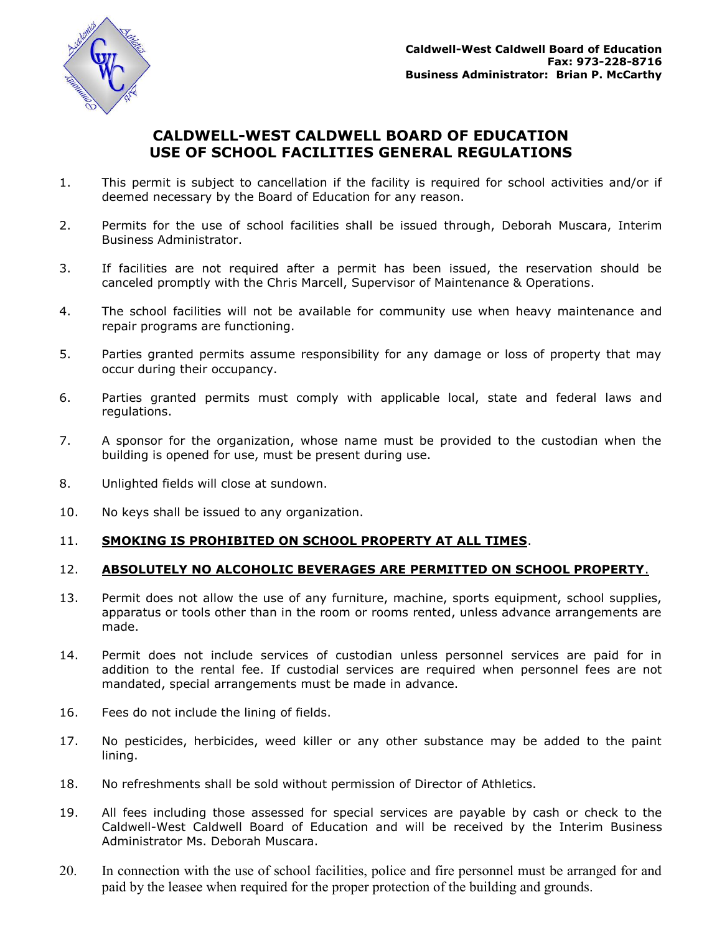

# **CALDWELL-WEST CALDWELL BOARD OF EDUCATION USE OF SCHOOL FACILITIES GENERAL REGULATIONS**

- 1. This permit is subject to cancellation if the facility is required for school activities and/or if deemed necessary by the Board of Education for any reason.
- 2. Permits for the use of school facilities shall be issued through, Deborah Muscara, Interim Business Administrator.
- 3. If facilities are not required after a permit has been issued, the reservation should be canceled promptly with the Chris Marcell, Supervisor of Maintenance & Operations.
- 4. The school facilities will not be available for community use when heavy maintenance and repair programs are functioning.
- 5. Parties granted permits assume responsibility for any damage or loss of property that may occur during their occupancy.
- 6. Parties granted permits must comply with applicable local, state and federal laws and regulations.
- 7. A sponsor for the organization, whose name must be provided to the custodian when the building is opened for use, must be present during use.
- 8. Unlighted fields will close at sundown.
- 10. No keys shall be issued to any organization.

# 11. **SMOKING IS PROHIBITED ON SCHOOL PROPERTY AT ALL TIMES**.

# 12. **ABSOLUTELY NO ALCOHOLIC BEVERAGES ARE PERMITTED ON SCHOOL PROPERTY**.

- 13. Permit does not allow the use of any furniture, machine, sports equipment, school supplies, apparatus or tools other than in the room or rooms rented, unless advance arrangements are made.
- 14. Permit does not include services of custodian unless personnel services are paid for in addition to the rental fee. If custodial services are required when personnel fees are not mandated, special arrangements must be made in advance.
- 16. Fees do not include the lining of fields.
- 17. No pesticides, herbicides, weed killer or any other substance may be added to the paint lining.
- 18. No refreshments shall be sold without permission of Director of Athletics.
- 19. All fees including those assessed for special services are payable by cash or check to the Caldwell-West Caldwell Board of Education and will be received by the Interim Business Administrator Ms. Deborah Muscara.
- 20. In connection with the use of school facilities, police and fire personnel must be arranged for and paid by the leasee when required for the proper protection of the building and grounds.